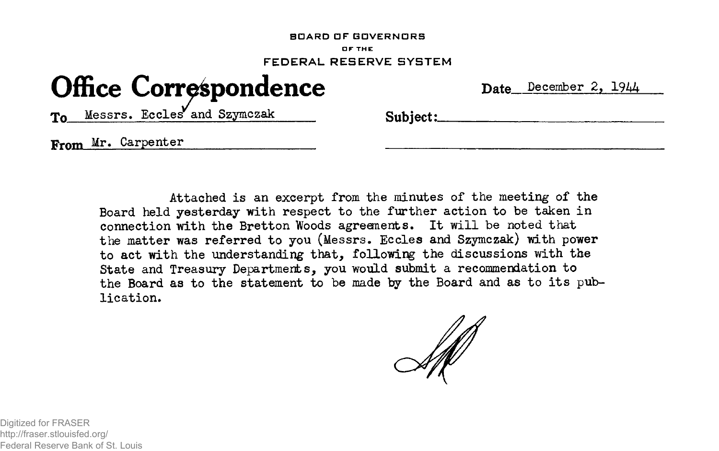## **BOARD OF GOVERNORS DF THE FEDERAL RESERVE SYSTEM**

## **Office Correspondence**

| <b>Date</b> | December 2. | 1944 |
|-------------|-------------|------|
|             |             |      |

To Messrs. Eccles and Szymczak Subject:

Frnm Mr. Carpenter

Attached is an excerpt from the minutes of the meeting of the Board held yesterday with respect to the further action to be taken in connection with the Bretton Woods agreements. It will be noted that the matter was referred to you (Messrs. Eccles and Szymczak) with power to act with the understanding that, following the discussions with the State and Treasury Departments, you would submit a recommendation to the Board as to the statement to be made by the Board and as to its publication.

Digitized for FRASER http://fraser.stlouisfed.org/ Federal Reserve Bank of St. Louis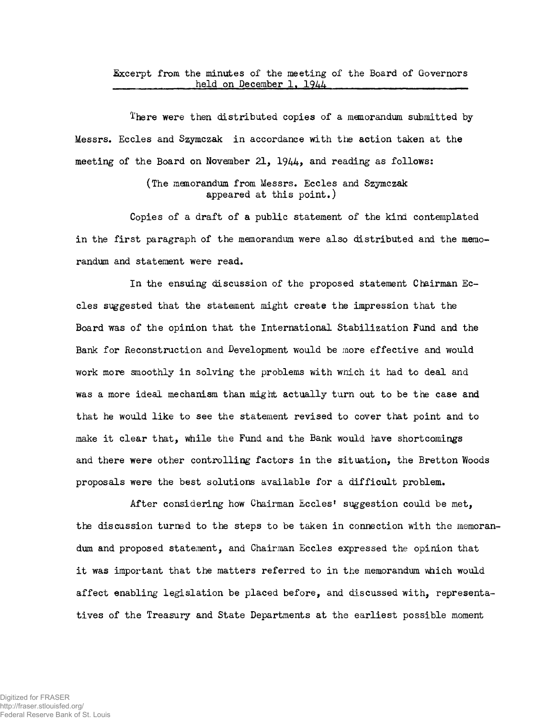Excerpt from the minutes of the meeting of the Board of Governors held on December 1, 1944

There were then distributed copies of a memorandum submitted by Messrs. Eccles and Szymczak in accordance with the action taken at the meeting of the Board on November 21,  $1944$ , and reading as follows:

> (The memorandum from Messrs. Eccles and Szymczak appeared at this point.)

Copies of a draft of a public statement of the kind contemplated in the first paragraph of the memorandum were also distributed and the memorandum and statement were read.

In the ensuing discussion of the proposed statement Chairman Eccles suggested that the statement might create the impression that the Board was of the opinion that the International Stabilization Fund and the Bank for Reconstruction and Development would be more effective and would work more smoothly in solving the problems with wnich it had to deal and was a more ideal mechanism than might actually turn out to be the case and that he would like to see the statement revised to cover that point and to make it clear that, while the Fund and the Bank would have shortcomings and there were other controlling factors in the situation, the Bretton Woods proposals were the best solutions available for a difficult problem.

After considering how Chairman Eccles' suggestion could be met, the discussion turned to the steps to be taken in connection with the memorandum and proposed statement, and Chairman Eccles expressed the opinion that it was important that the matters referred to in the memorandum which would affect enabling legislation be placed before, and discussed with, representatives of the Treasury and State Departments at the earliest possible moment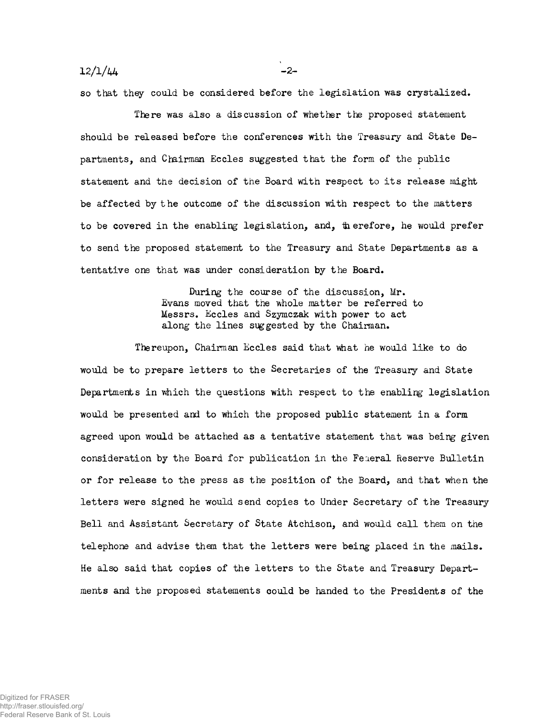$12/1/44$   $-2-$ 

so that they could be considered before the legislation was crystalized.

There was also a discussion of whether the proposed statement should be released before the conferences with the Treasury and State Departments, and Chairman Eccles suggested that the form of the public statement and the decision of the Board with respect to its release might be affected by the outcome of the discussion with respect to the matters to be covered in the enabling legislation, and, therefore, he would prefer to send the proposed statement to the Treasury and State Departments as a tentative one that was under consideration by the Board,

> During the course of the discussion, Mr. Evans moved that the whole matter be referred to Messrs. Eccles and Szymczak with power to act along the lines suggested by the Chairman.

Thereupon, Chairman Eccles said that what he would like to do would be to prepare letters to the Secretaries of the Treasury and State Departments in which the questions with respect to the enabling legislation would be presented and to which the proposed public statement in a form agreed upon would be attached as a tentative statement that was being given consideration by the Board for publication in the Feaeral Reserve Bulletin or for release to the press as the position of the Board, and that when the letters were signed he would send copies to Under Secretary of the Treasury Bell and Assistant Secretary of State Atchison, and would call them on the telephone and advise them that the letters were being placed in the mails. He also said that copies of the letters to the State and Treasury Departments and the proposed statements could be handed to the Presidents of the